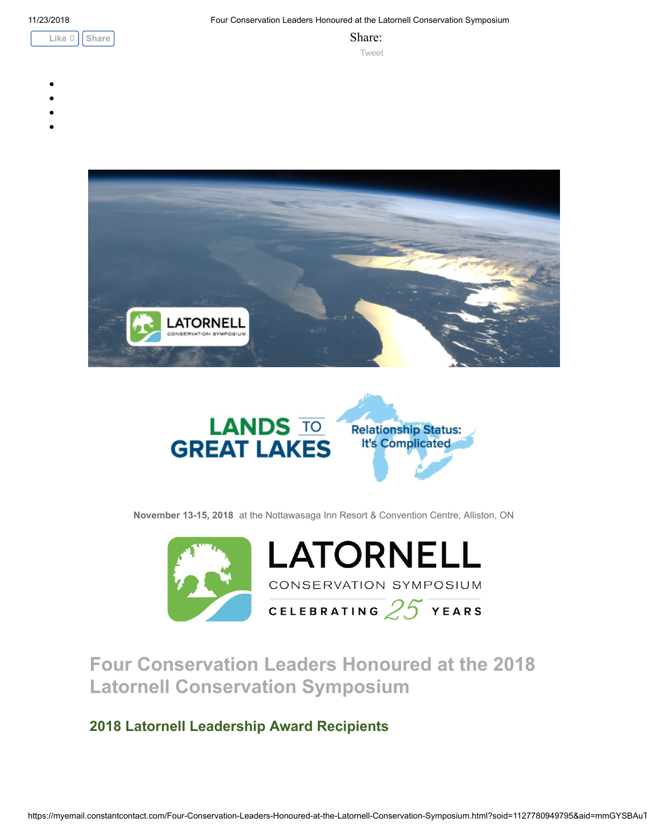



November 13-15, 2018 at the Nottawasaga Inn Resort & Convention Centre, Alliston, ON





Four Conservation Leaders Honoured at the 2018 Latornell Conservation Symposium

2018 Latornell Leadership Award Recipients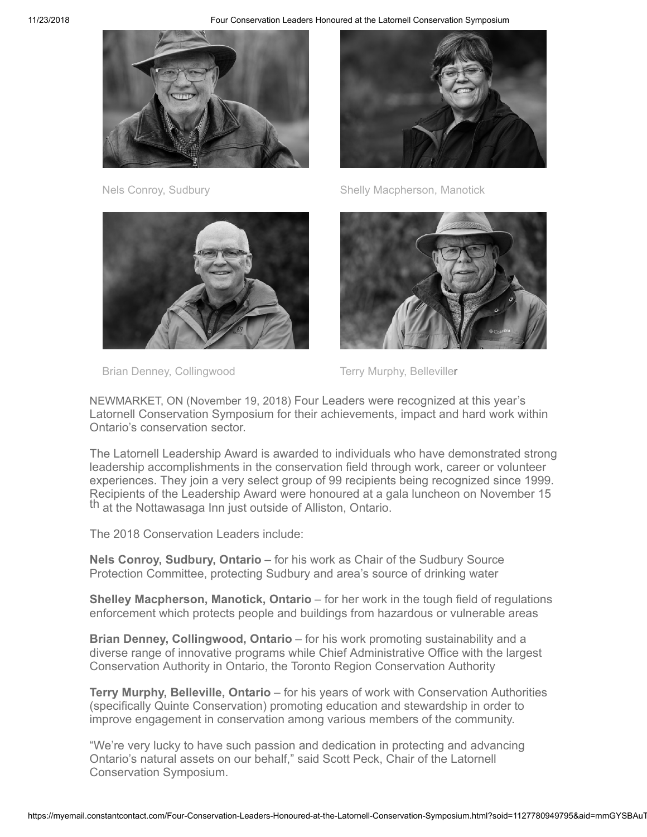



Brian Denney, Collingwood Terry Murphy, Belleviller



Nels Conroy, Sudbury Shelly Macpherson, Manotick



NEWMARKET, ON (November 19, 2018) Four Leaders were recognized at this year's Latornell Conservation Symposium for their achievements, impact and hard work within Ontario's conservation sector.

The Latornell Leadership Award is awarded to individuals who have demonstrated strong leadership accomplishments in the conservation field through work, career or volunteer experiences. They join a very select group of 99 recipients being recognized since 1999. Recipients of the Leadership Award were honoured at a gala luncheon on November 15 th at the Nottawasaga Inn just outside of Alliston, Ontario.

The 2018 Conservation Leaders include:

Nels Conroy, Sudbury, Ontario – for his work as Chair of the Sudbury Source Protection Committee, protecting Sudbury and area's source of drinking water

**Shelley Macpherson, Manotick, Ontario** – for her work in the tough field of regulations enforcement which protects people and buildings from hazardous or vulnerable areas

Brian Denney, Collingwood, Ontario – for his work promoting sustainability and a diverse range of innovative programs while Chief Administrative Office with the largest Conservation Authority in Ontario, the Toronto Region Conservation Authority

Terry Murphy, Belleville, Ontario – for his years of work with Conservation Authorities (specifically Quinte Conservation) promoting education and stewardship in order to improve engagement in conservation among various members of the community.

"We're very lucky to have such passion and dedication in protecting and advancing Ontario's natural assets on our behalf," said Scott Peck, Chair of the Latornell Conservation Symposium.